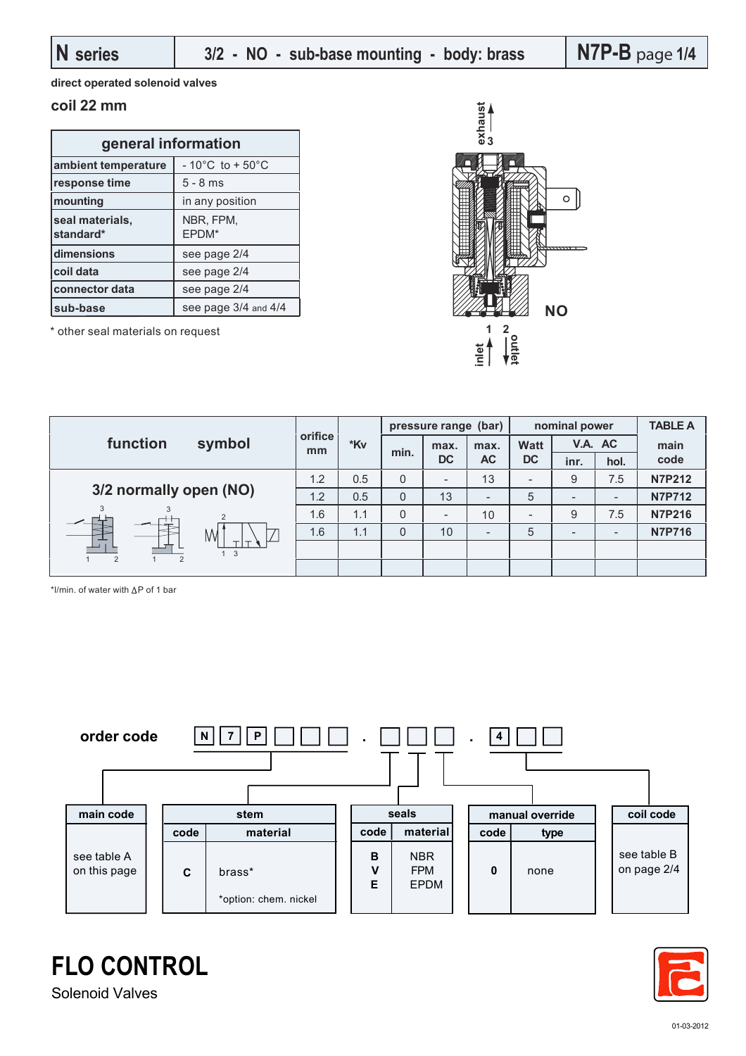**direct operated solenoid valves**

## **coil 22 mm**

| general information          |                                      |  |  |  |  |
|------------------------------|--------------------------------------|--|--|--|--|
| ambient temperature          | $-10^{\circ}$ C to + 50 $^{\circ}$ C |  |  |  |  |
| response time                | $5 - 8$ ms                           |  |  |  |  |
| mounting                     | in any position                      |  |  |  |  |
| seal materials,<br>standard* | NBR, FPM,<br>EPDM*                   |  |  |  |  |
| dimensions                   | see page 2/4                         |  |  |  |  |
| coil data                    | see page 2/4                         |  |  |  |  |
| connector data               | see page 2/4                         |  |  |  |  |
| sub-base                     | see page 3/4 and 4/4                 |  |  |  |  |

\* other seal materials on request



|                        | symbol      | orifice i<br>mm | *Kv | pressure range (bar) |                   |                          | nominal power            |                          |                          | <b>TABLE A</b> |
|------------------------|-------------|-----------------|-----|----------------------|-------------------|--------------------------|--------------------------|--------------------------|--------------------------|----------------|
| function               |             |                 |     | min.                 | max.<br><b>DC</b> | max.<br><b>AC</b>        | <b>Watt</b><br><b>DC</b> | V.A. AC                  |                          | main           |
|                        |             |                 |     |                      |                   |                          |                          | inr.                     | hol.                     | code           |
| 3/2 normally open (NO) |             | 1.2             | 0.5 | 0                    |                   | 13                       | $\overline{\phantom{a}}$ | 9                        | 7.5                      | <b>N7P212</b>  |
|                        |             | 1.2             | 0.5 | $\overline{0}$       | 13                | $\overline{\phantom{0}}$ | 5                        | $\overline{\phantom{a}}$ | $\overline{\phantom{0}}$ | <b>N7P712</b>  |
|                        |             | 1.6             | 1.1 | 0                    |                   | 10                       |                          | 9                        | 7.5                      | <b>N7P216</b>  |
|                        | M           | 1.6             | 1.1 | $\overline{0}$       | 10                | -                        | 5                        | $\overline{\phantom{a}}$ | $\overline{\phantom{0}}$ | <b>N7P716</b>  |
|                        | $1 \quad 3$ |                 |     |                      |                   |                          |                          |                          |                          |                |
| $\overline{2}$         |             |                 |     |                      |                   |                          |                          |                          |                          |                |

\*l/min. of water with  $\Delta P$  of 1 bar





**FLO CONTROL** Solenoid Valves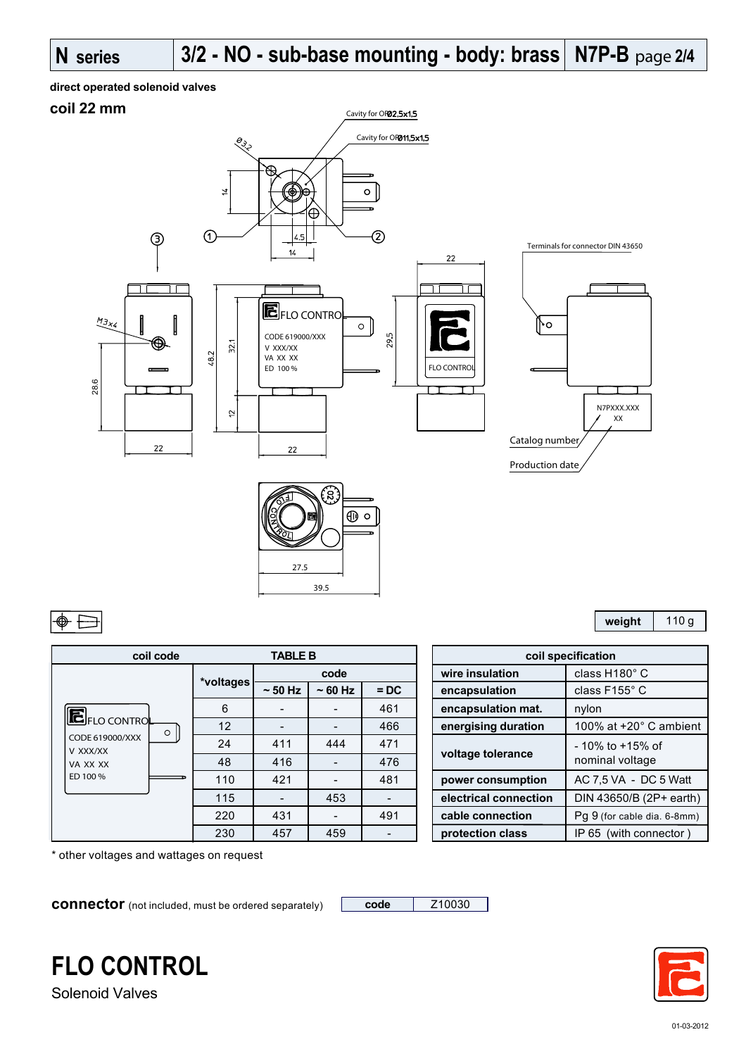# **direct operated solenoid valves**

# **coil 22 mm**



| coil code                                                                              |           | <b>TABLE B</b>           |          |        |                       | coil specification   |
|----------------------------------------------------------------------------------------|-----------|--------------------------|----------|--------|-----------------------|----------------------|
| <b>E</b> FLO CONTROL<br>$\circ$<br>CODE 619000/XXX<br>V XXX/XX<br>VA XX XX<br>ED 100 % |           | code                     |          |        | wire insulation       | class H <sup>®</sup> |
|                                                                                        | *voltages | $\sim$ 50 Hz             | $~50$ Hz | $=$ DC | encapsulation         | class F1             |
|                                                                                        | 6         | $\overline{\phantom{a}}$ |          | 461    | encapsulation mat.    | nylon                |
|                                                                                        | 12        |                          |          | 466    | energising duration   | 100% a               |
|                                                                                        | 24        | 411                      | 444      | 471    |                       | - 10% tc             |
|                                                                                        | 48        | 416                      |          | 476    | voltage tolerance     | nominal              |
|                                                                                        | 110       | 421                      |          | 481    | power consumption     | AC 7,5 \             |
|                                                                                        | 115       |                          | 453      |        | electrical connection | <b>DIN 436</b>       |
|                                                                                        | 220       | 431                      |          | 491    | cable connection      | Pg 9 (for            |
|                                                                                        | 230       | 457                      | 459      |        | protection class      | IP 65 (v             |

27.5

39.5

| <b>TABLE B</b> |              |          | coil specification       |                       |                               |  |
|----------------|--------------|----------|--------------------------|-----------------------|-------------------------------|--|
| ltages         | code         |          |                          | wire insulation       | class H180° C                 |  |
|                | $\sim$ 50 Hz | $~50$ Hz | $=$ DC                   | encapsulation         | class F155° C                 |  |
| -6             |              |          | 461                      | encapsulation mat.    | nylon                         |  |
| 12             |              |          | 466                      | energising duration   | 100% at $+20^\circ$ C ambient |  |
| 24             | 411          | 444      | 471                      |                       | $-10\%$ to $+15\%$ of         |  |
| 48             | 416          |          | 476                      | voltage tolerance     | nominal voltage               |  |
| 110            | 421          |          | 481                      | power consumption     | AC 7.5 VA - DC 5 Watt         |  |
| 115            |              | 453      | $\overline{\phantom{a}}$ | electrical connection | DIN 43650/B (2P+ earth)       |  |
| 220            | 431          |          | 491                      | cable connection      | Pg 9 (for cable dia. 6-8mm)   |  |
| 230            | 457          | 459      |                          | protection class      | IP 65 (with connector)        |  |
|                |              |          |                          |                       |                               |  |

\* other voltages and wattages on request

**connector** (not included, must be ordered separately) **code** | Z10030



Solenoid Valves



**weight** 110 g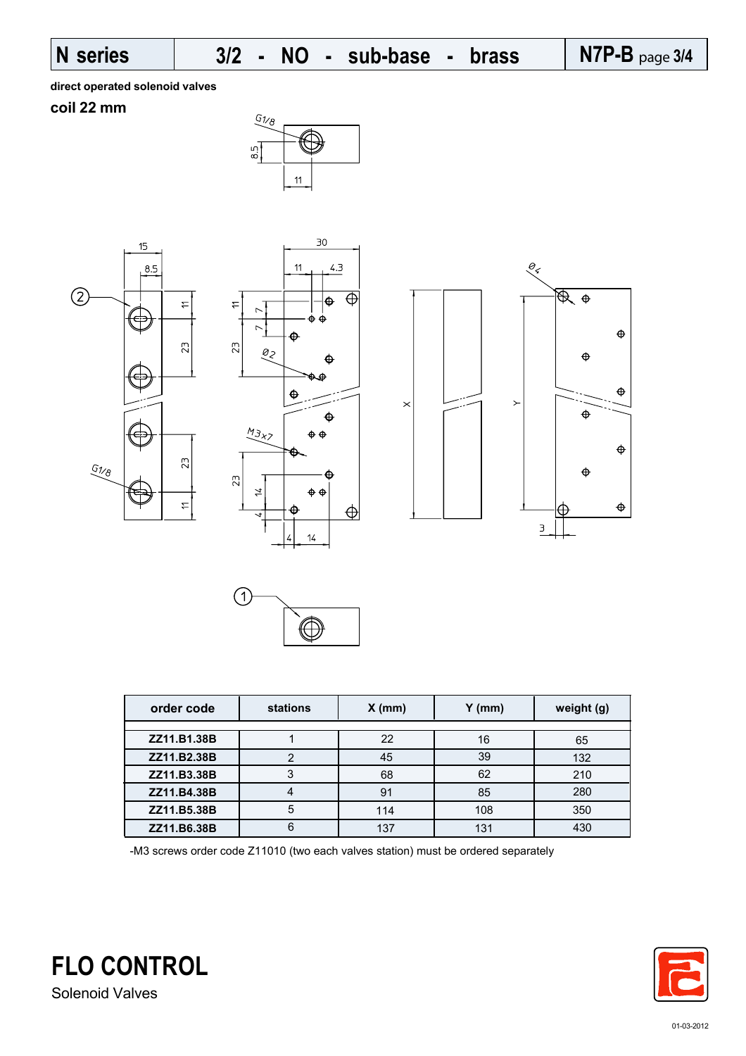### **N series N7P-B** page **3/4** sub-base

**direct operated solenoid valves**

## **coil 22 mm**











| order code  | <b>stations</b> | $X$ (mm) | $Y$ (mm) | weight (g) |
|-------------|-----------------|----------|----------|------------|
|             |                 |          |          |            |
| ZZ11.B1.38B |                 | 22       | 16       | 65         |
| ZZ11.B2.38B |                 | 45       | 39       | 132        |
| ZZ11.B3.38B | 3               | 68       | 62       | 210        |
| ZZ11.B4.38B |                 | 91       | 85       | 280        |
| ZZ11.B5.38B | 5               | 114      | 108      | 350        |
| ZZ11.B6.38B | 6               | 137      | 131      | 430        |

-M3 screws order code Z11010 (two each valves station) must be ordered separately